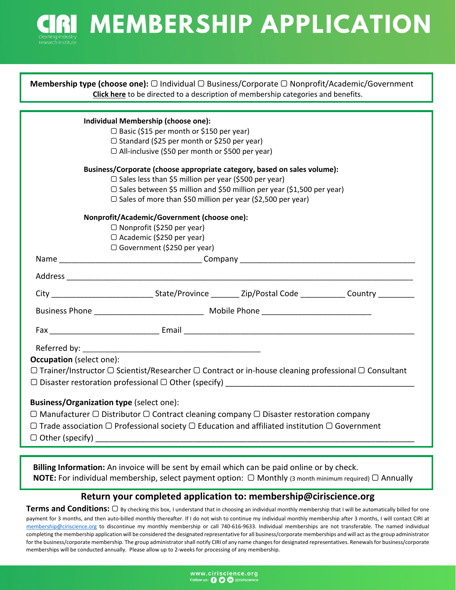**CIRI MEMBERSHIP APPLICATION** 

| Individual Membership (choose one):<br>$\Box$ Basic (\$15 per month or \$150 per year)<br>□ Standard (\$25 per month or \$250 per year)<br>□ All-inclusive (\$50 per month or \$500 per year)<br>Business/Corporate (choose appropriate category, based on sales volume):<br>$\Box$ Sales less than \$5 million per year (\$500 per year)<br>□ Sales between \$5 million and \$50 million per year (\$1,500 per year)<br>$\Box$ Sales of more than \$50 million per year (\$2,500 per year)<br>Nonprofit/Academic/Government (choose one):<br>□ Nonprofit (\$250 per year)<br>□ Academic (\$250 per year)<br>$\Box$ Government (\$250 per year)<br><b>Occupation</b> (select one):<br>$\Box$ Trainer/Instructor $\Box$ Scientist/Researcher $\Box$ Contract or in-house cleaning professional $\Box$ Consultant<br>$\Box$ Disaster restoration professional $\Box$ Other (specify)<br>Business/Organization type (select one): | <b>Membership type (choose one):</b> $\Box$ Individual $\Box$ Business/Corporate $\Box$ Nonprofit/Academic/Government<br>Click here to be directed to a description of membership categories and benefits. |  |  |  |  |
|--------------------------------------------------------------------------------------------------------------------------------------------------------------------------------------------------------------------------------------------------------------------------------------------------------------------------------------------------------------------------------------------------------------------------------------------------------------------------------------------------------------------------------------------------------------------------------------------------------------------------------------------------------------------------------------------------------------------------------------------------------------------------------------------------------------------------------------------------------------------------------------------------------------------------------|------------------------------------------------------------------------------------------------------------------------------------------------------------------------------------------------------------|--|--|--|--|
|                                                                                                                                                                                                                                                                                                                                                                                                                                                                                                                                                                                                                                                                                                                                                                                                                                                                                                                                |                                                                                                                                                                                                            |  |  |  |  |
|                                                                                                                                                                                                                                                                                                                                                                                                                                                                                                                                                                                                                                                                                                                                                                                                                                                                                                                                |                                                                                                                                                                                                            |  |  |  |  |
|                                                                                                                                                                                                                                                                                                                                                                                                                                                                                                                                                                                                                                                                                                                                                                                                                                                                                                                                |                                                                                                                                                                                                            |  |  |  |  |
|                                                                                                                                                                                                                                                                                                                                                                                                                                                                                                                                                                                                                                                                                                                                                                                                                                                                                                                                |                                                                                                                                                                                                            |  |  |  |  |
|                                                                                                                                                                                                                                                                                                                                                                                                                                                                                                                                                                                                                                                                                                                                                                                                                                                                                                                                |                                                                                                                                                                                                            |  |  |  |  |
|                                                                                                                                                                                                                                                                                                                                                                                                                                                                                                                                                                                                                                                                                                                                                                                                                                                                                                                                |                                                                                                                                                                                                            |  |  |  |  |
|                                                                                                                                                                                                                                                                                                                                                                                                                                                                                                                                                                                                                                                                                                                                                                                                                                                                                                                                |                                                                                                                                                                                                            |  |  |  |  |
|                                                                                                                                                                                                                                                                                                                                                                                                                                                                                                                                                                                                                                                                                                                                                                                                                                                                                                                                |                                                                                                                                                                                                            |  |  |  |  |
|                                                                                                                                                                                                                                                                                                                                                                                                                                                                                                                                                                                                                                                                                                                                                                                                                                                                                                                                |                                                                                                                                                                                                            |  |  |  |  |
|                                                                                                                                                                                                                                                                                                                                                                                                                                                                                                                                                                                                                                                                                                                                                                                                                                                                                                                                |                                                                                                                                                                                                            |  |  |  |  |
|                                                                                                                                                                                                                                                                                                                                                                                                                                                                                                                                                                                                                                                                                                                                                                                                                                                                                                                                |                                                                                                                                                                                                            |  |  |  |  |
|                                                                                                                                                                                                                                                                                                                                                                                                                                                                                                                                                                                                                                                                                                                                                                                                                                                                                                                                |                                                                                                                                                                                                            |  |  |  |  |
|                                                                                                                                                                                                                                                                                                                                                                                                                                                                                                                                                                                                                                                                                                                                                                                                                                                                                                                                |                                                                                                                                                                                                            |  |  |  |  |
|                                                                                                                                                                                                                                                                                                                                                                                                                                                                                                                                                                                                                                                                                                                                                                                                                                                                                                                                |                                                                                                                                                                                                            |  |  |  |  |
|                                                                                                                                                                                                                                                                                                                                                                                                                                                                                                                                                                                                                                                                                                                                                                                                                                                                                                                                |                                                                                                                                                                                                            |  |  |  |  |
|                                                                                                                                                                                                                                                                                                                                                                                                                                                                                                                                                                                                                                                                                                                                                                                                                                                                                                                                |                                                                                                                                                                                                            |  |  |  |  |
|                                                                                                                                                                                                                                                                                                                                                                                                                                                                                                                                                                                                                                                                                                                                                                                                                                                                                                                                |                                                                                                                                                                                                            |  |  |  |  |
|                                                                                                                                                                                                                                                                                                                                                                                                                                                                                                                                                                                                                                                                                                                                                                                                                                                                                                                                |                                                                                                                                                                                                            |  |  |  |  |
|                                                                                                                                                                                                                                                                                                                                                                                                                                                                                                                                                                                                                                                                                                                                                                                                                                                                                                                                |                                                                                                                                                                                                            |  |  |  |  |
|                                                                                                                                                                                                                                                                                                                                                                                                                                                                                                                                                                                                                                                                                                                                                                                                                                                                                                                                |                                                                                                                                                                                                            |  |  |  |  |
|                                                                                                                                                                                                                                                                                                                                                                                                                                                                                                                                                                                                                                                                                                                                                                                                                                                                                                                                |                                                                                                                                                                                                            |  |  |  |  |
|                                                                                                                                                                                                                                                                                                                                                                                                                                                                                                                                                                                                                                                                                                                                                                                                                                                                                                                                |                                                                                                                                                                                                            |  |  |  |  |
|                                                                                                                                                                                                                                                                                                                                                                                                                                                                                                                                                                                                                                                                                                                                                                                                                                                                                                                                |                                                                                                                                                                                                            |  |  |  |  |
|                                                                                                                                                                                                                                                                                                                                                                                                                                                                                                                                                                                                                                                                                                                                                                                                                                                                                                                                |                                                                                                                                                                                                            |  |  |  |  |
| $\Box$ Manufacturer $\Box$ Distributor $\Box$ Contract cleaning company $\Box$ Disaster restoration company                                                                                                                                                                                                                                                                                                                                                                                                                                                                                                                                                                                                                                                                                                                                                                                                                    |                                                                                                                                                                                                            |  |  |  |  |
| $\Box$ Trade association $\Box$ Professional society $\Box$ Education and affiliated institution $\Box$ Government                                                                                                                                                                                                                                                                                                                                                                                                                                                                                                                                                                                                                                                                                                                                                                                                             |                                                                                                                                                                                                            |  |  |  |  |
| $\Box$ Other (specify)                                                                                                                                                                                                                                                                                                                                                                                                                                                                                                                                                                                                                                                                                                                                                                                                                                                                                                         |                                                                                                                                                                                                            |  |  |  |  |
|                                                                                                                                                                                                                                                                                                                                                                                                                                                                                                                                                                                                                                                                                                                                                                                                                                                                                                                                |                                                                                                                                                                                                            |  |  |  |  |
| والمستطع ورواسم المستلسم المتسرم وبالسمي والمتوازور التمسيم وروا باسمو الموال الترور ومتسرودين سرقي وسمته                                                                                                                                                                                                                                                                                                                                                                                                                                                                                                                                                                                                                                                                                                                                                                                                                      |                                                                                                                                                                                                            |  |  |  |  |

**Billing Information:** An invoice will be sent by email which can be paid online or by check. **NOTE:** For individual membership, select payment option:  $\Box$  Monthly (3 month minimum required)  $\Box$  Annually

# **Return your completed application to: membership@ciriscience.org**

**Terms and Conditions:** ▢ By checking this box, <sup>I</sup> understand that in choosing an individual monthly membership that <sup>I</sup> will be automatically billed for one payment for 3 months, and then auto-billed monthly thereafter. If I do not wish to continue my individual monthly membership after 3 months, I will contact CIRI at [membership@ciriscience.org](mailto: membership@ciriscience.org) to discontinue my monthly membership or call 740‐616‐9633. Individual memberships are not transferable. The named individual completing the membership application will be considered the designated representative for all business/corporate memberships and will act asthe group administrator for the business/corporate membership. The group administrator shall notify CIRI of any name changes for designated representatives. Renewals for business/corporate memberships will be conducted annually. Please allow up to 2‐weeks for processing of any membership.